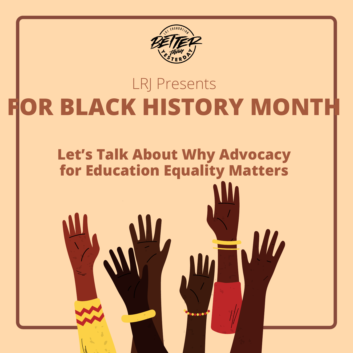

# **FOR BLACK HISTORY MONTH** LRJ Presents

## **Let's Talk About Why Advocacy for Education Equality Matters**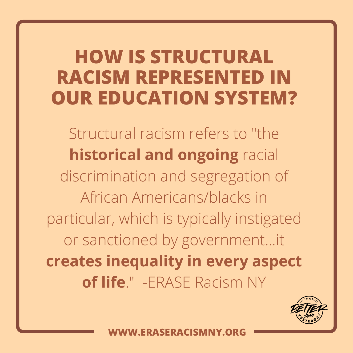# **HOW IS STRUCTURAL RACISM REPRESENTED IN OUR EDUCATION SYSTEM?**

Structural racism refers to "the **historical and ongoing** racial discrimination and segregation of African Americans/blacks in particular, which is typically instigated or sanctioned by government...it **creates inequality in every aspect of life**." -ERASE Racism NY

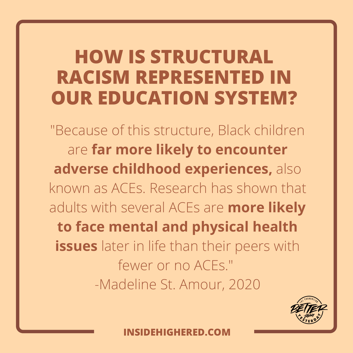# **HOW IS STRUCTURAL RACISM REPRESENTED IN OUR EDUCATION SYSTEM?**

"Because of this structure, Black children are **far more likely to encounter adverse childhood experiences,** also known as ACEs. Research has shown that adults with several ACEs are **more likely to face mental and physical health issues** later in life than their peers with fewer or no ACEs." -[Madeline](https://www.insidehighered.com/users/madeline-st-amour) St. Amour, 2020

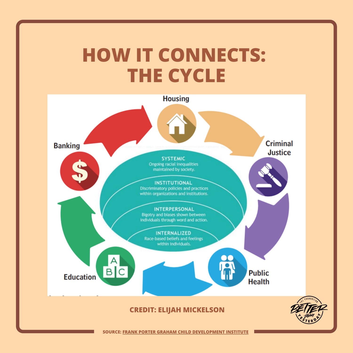# **HOW IT CONNECTS: THE CYCLE**



**SOURCE: FRANK PORTER GRAHAM CHILD [DEVELOPMENT](https://fpg.unc.edu/sites/fpg.unc.edu/files/resources/other-resources/What%20Racism%20Looks%20Like.pdf) INSTITUTE**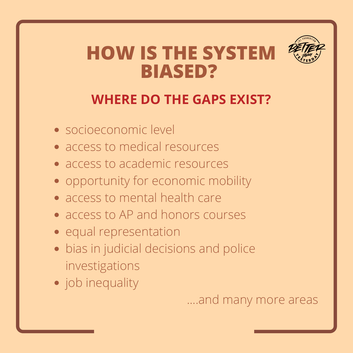## **HOW IS THE SYSTEM BIASED?**



#### **WHERE DO THE GAPS EXIST?**

- socioeconomic level
- access to medical resources
- access to academic resources
- opportunity for economic mobility
- access to mental health care
- access to AP and honors courses
- equal representation
- bias in judicial decisions and police investigations
- job inequality

....and many more areas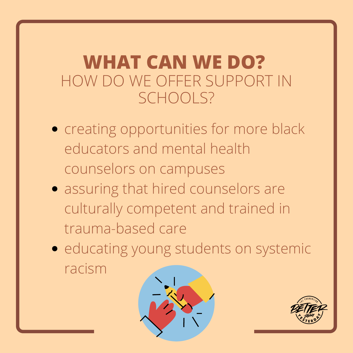## **WHAT CAN WE DO?** HOW DO WE OFFER SUPPORT IN SCHOOLS?

- creating opportunities for more black educators and mental health counselors on campuses
- assuring that hired counselors are culturally competent and trained in trauma-based care
- educating young students on systemic racism



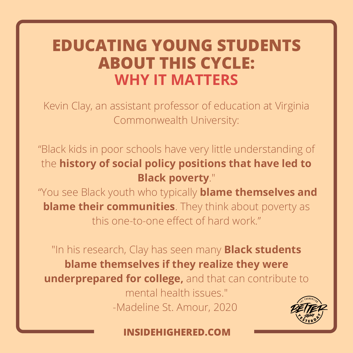### **EDUCATING YOUNG STUDENTS ABOUT THIS CYCLE: WHY IT MATTERS**

Kevin Clay, an assistant professor of education at Virginia Commonwealth University:

"Black kids in poor schools have very little understanding of the **history of social policy positions that have led to Black poverty**."

"You see Black youth who typically **blame themselves and blame their communities**. They think about poverty as this one-to-one effect of hard work."

"In his research, Clay has seen many **Black students blame themselves if they realize they were underprepared for college,** and that can contribute to mental health issues."

-Madeline St. Amour, 2020

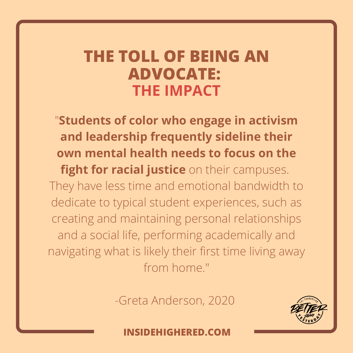### **THE TOLL OF BEING AN ADVOCATE: THE IMPACT**

"**Students of color who engage in activism and leadership frequently sideline their own mental health needs to focus on the fight for racial justice** on their campuses. They have less time and emotional bandwidth to dedicate to typical student experiences, such as creating and maintaining personal relationships and a social life, performing academically and navigating what is likely their first time living away from home."

-Greta Anderson, 2020

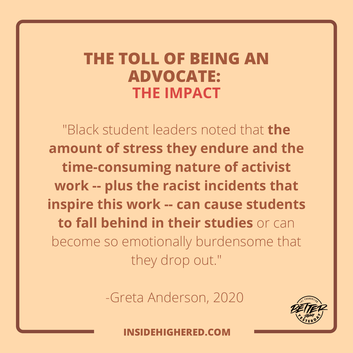### **THE TOLL OF BEING AN ADVOCATE: THE IMPACT**

"Black student leaders noted that **the amount of stress they endure and the time-consuming nature of activist work -- plus the racist incidents that inspire this work -- can cause students to fall behind in their studies** or can become so emotionally burdensome that they drop out."

-Greta Anderson, 2020